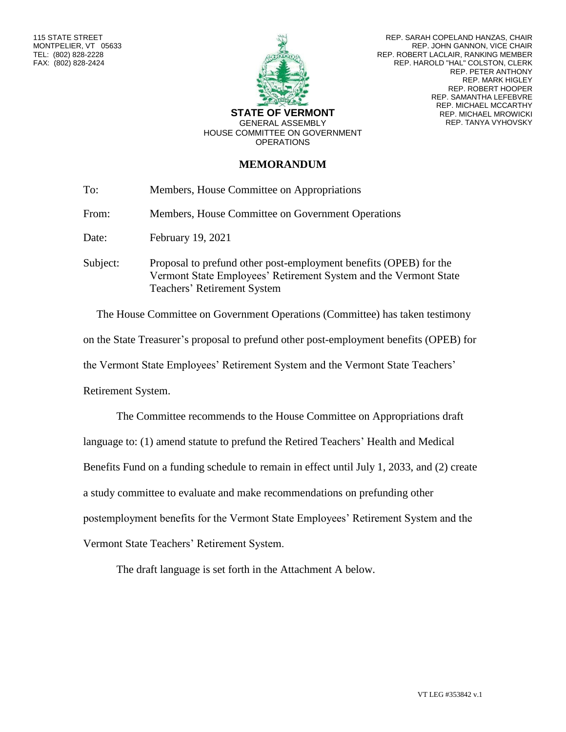

REP. SARAH COPELAND HANZAS, CHAIR REP. JOHN GANNON, VICE CHAIR REP. ROBERT LACLAIR, RANKING MEMBER REP. HAROLD "HAL" COLSTON, CLERK REP. PETER ANTHONY REP. MARK HIGLEY REP. ROBERT HOOPER REP. SAMANTHA LEFEBVRE REP. MICHAEL MCCARTHY REP. MICHAEL MROWICKI REP. TANYA VYHOVSKY

HOUSE COMMITTEE ON GOVERNMENT **OPERATIONS** 

## **MEMORANDUM**

| To:      | Members, House Committee on Appropriations                                                                                                                           |
|----------|----------------------------------------------------------------------------------------------------------------------------------------------------------------------|
| From:    | Members, House Committee on Government Operations                                                                                                                    |
| Date:    | February 19, 2021                                                                                                                                                    |
| Subject: | Proposal to prefund other post-employment benefits (OPEB) for the<br>Vermont State Employees' Retirement System and the Vermont State<br>Teachers' Retirement System |

The House Committee on Government Operations (Committee) has taken testimony on the State Treasurer's proposal to prefund other post-employment benefits (OPEB) for the Vermont State Employees' Retirement System and the Vermont State Teachers' Retirement System.

The Committee recommends to the House Committee on Appropriations draft language to: (1) amend statute to prefund the Retired Teachers' Health and Medical Benefits Fund on a funding schedule to remain in effect until July 1, 2033, and (2) create a study committee to evaluate and make recommendations on prefunding other postemployment benefits for the Vermont State Employees' Retirement System and the Vermont State Teachers' Retirement System.

The draft language is set forth in the Attachment A below.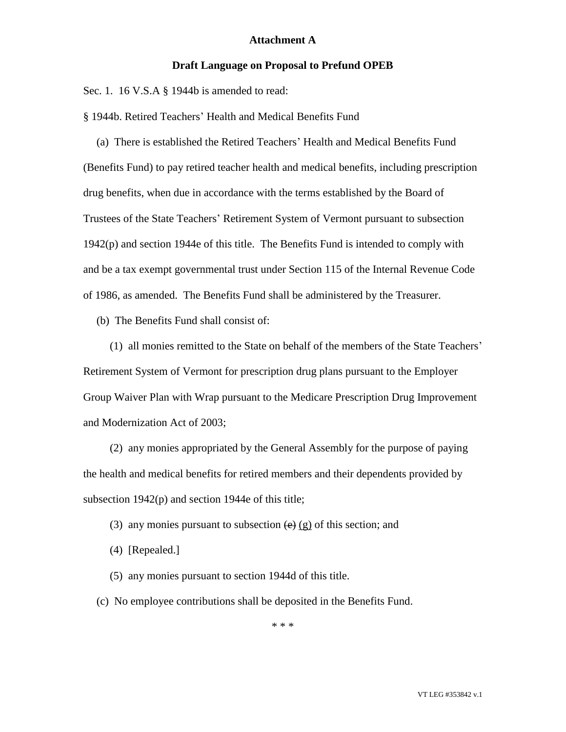## **Attachment A**

#### **Draft Language on Proposal to Prefund OPEB**

Sec. 1. 16 V.S.A § 1944b is amended to read:

§ 1944b. Retired Teachers' Health and Medical Benefits Fund

(a) There is established the Retired Teachers' Health and Medical Benefits Fund (Benefits Fund) to pay retired teacher health and medical benefits, including prescription drug benefits, when due in accordance with the terms established by the Board of Trustees of the State Teachers' Retirement System of Vermont pursuant to subsection 1942(p) and section 1944e of this title. The Benefits Fund is intended to comply with and be a tax exempt governmental trust under Section 115 of the Internal Revenue Code of 1986, as amended. The Benefits Fund shall be administered by the Treasurer.

(b) The Benefits Fund shall consist of:

(1) all monies remitted to the State on behalf of the members of the State Teachers' Retirement System of Vermont for prescription drug plans pursuant to the Employer Group Waiver Plan with Wrap pursuant to the Medicare Prescription Drug Improvement and Modernization Act of 2003;

(2) any monies appropriated by the General Assembly for the purpose of paying the health and medical benefits for retired members and their dependents provided by subsection 1942(p) and section 1944e of this title;

- (3) any monies pursuant to subsection  $\left(\frac{e}{e}\right)$  (g) of this section; and
- (4) [Repealed.]
- (5) any monies pursuant to section 1944d of this title.
- (c) No employee contributions shall be deposited in the Benefits Fund.

\* \* \*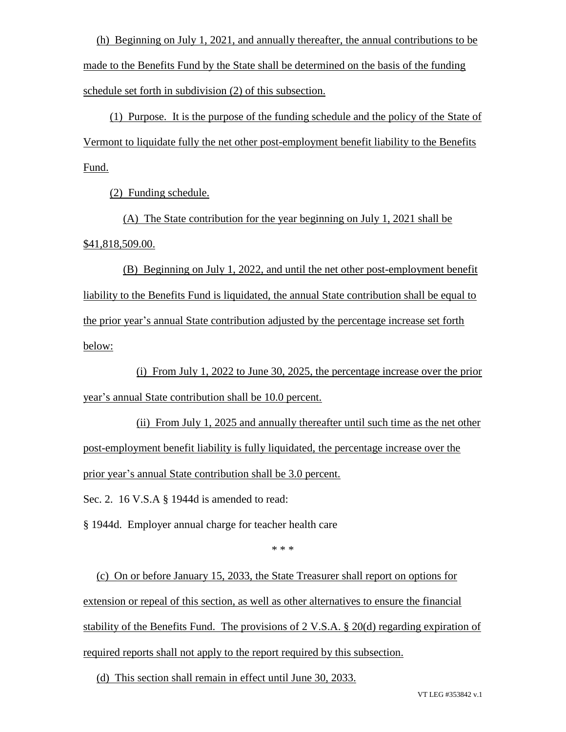(h) Beginning on July 1, 2021, and annually thereafter, the annual contributions to be made to the Benefits Fund by the State shall be determined on the basis of the funding schedule set forth in subdivision (2) of this subsection.

(1) Purpose. It is the purpose of the funding schedule and the policy of the State of Vermont to liquidate fully the net other post-employment benefit liability to the Benefits Fund.

(2) Funding schedule.

(A) The State contribution for the year beginning on July 1, 2021 shall be \$41,818,509.00.

(B) Beginning on July 1, 2022, and until the net other post-employment benefit liability to the Benefits Fund is liquidated, the annual State contribution shall be equal to the prior year's annual State contribution adjusted by the percentage increase set forth below:

(i) From July 1, 2022 to June 30, 2025, the percentage increase over the prior year's annual State contribution shall be 10.0 percent.

(ii) From July 1, 2025 and annually thereafter until such time as the net other post-employment benefit liability is fully liquidated, the percentage increase over the prior year's annual State contribution shall be 3.0 percent.

Sec. 2. 16 V.S.A § 1944d is amended to read:

§ 1944d. Employer annual charge for teacher health care

\* \* \*

(c) On or before January 15, 2033, the State Treasurer shall report on options for extension or repeal of this section, as well as other alternatives to ensure the financial stability of the Benefits Fund. The provisions of 2 V.S.A. § 20(d) regarding expiration of required reports shall not apply to the report required by this subsection.

(d) This section shall remain in effect until June 30, 2033.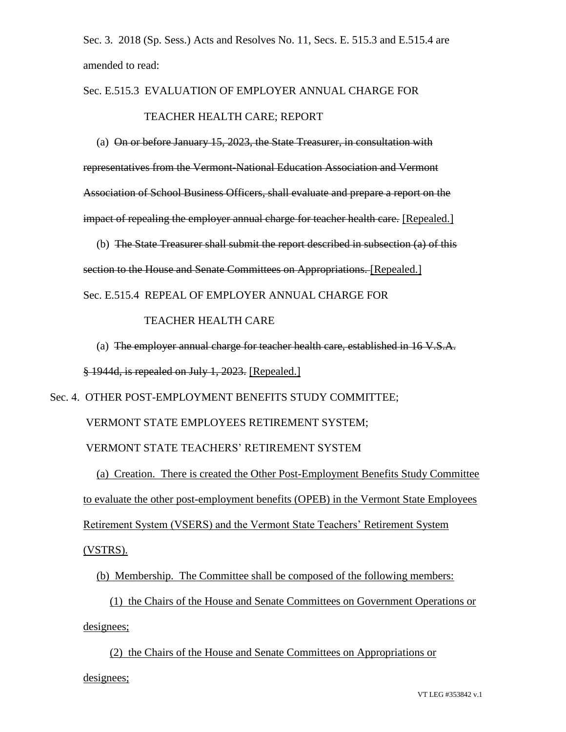Sec. 3. 2018 (Sp. Sess.) Acts and Resolves No. 11, Secs. E. 515.3 and E.515.4 are amended to read:

# Sec. E.515.3 EVALUATION OF EMPLOYER ANNUAL CHARGE FOR TEACHER HEALTH CARE; REPORT

(a) On or before January 15, 2023, the State Treasurer, in consultation with representatives from the Vermont-National Education Association and Vermont Association of School Business Officers, shall evaluate and prepare a report on the impact of repealing the employer annual charge for teacher health care. [Repealed.]

(b) The State Treasurer shall submit the report described in subsection (a) of this section to the House and Senate Committees on Appropriations. [Repealed.] Sec. E.515.4 REPEAL OF EMPLOYER ANNUAL CHARGE FOR

# TEACHER HEALTH CARE

(a) The employer annual charge for teacher health care, established in 16 V.S.A. § 1944d, is repealed on July 1, 2023. [Repealed.]

Sec. 4. OTHER POST-EMPLOYMENT BENEFITS STUDY COMMITTEE;

VERMONT STATE EMPLOYEES RETIREMENT SYSTEM;

VERMONT STATE TEACHERS' RETIREMENT SYSTEM

(a) Creation. There is created the Other Post-Employment Benefits Study Committee to evaluate the other post-employment benefits (OPEB) in the Vermont State Employees Retirement System (VSERS) and the Vermont State Teachers' Retirement System

(VSTRS).

(b) Membership. The Committee shall be composed of the following members:

(1) the Chairs of the House and Senate Committees on Government Operations or designees;

(2) the Chairs of the House and Senate Committees on Appropriations or

designees;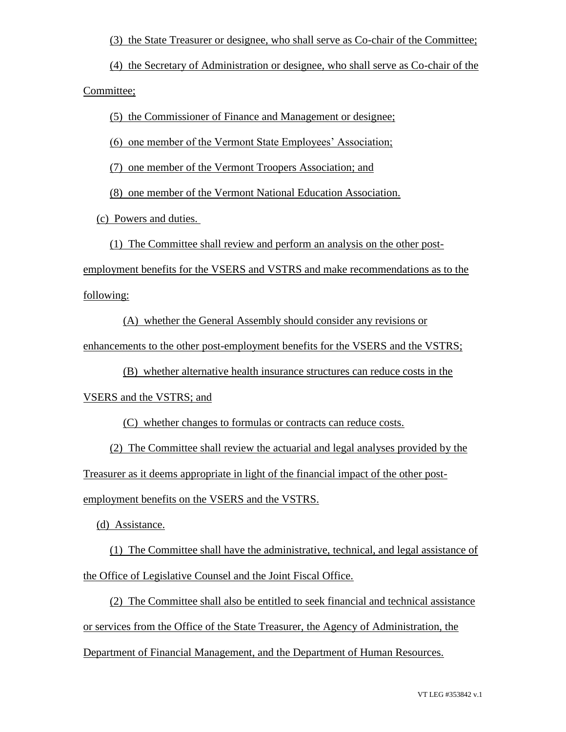(3) the State Treasurer or designee, who shall serve as Co-chair of the Committee;

(4) the Secretary of Administration or designee, who shall serve as Co-chair of the Committee;

(5) the Commissioner of Finance and Management or designee;

(6) one member of the Vermont State Employees' Association;

(7) one member of the Vermont Troopers Association; and

(8) one member of the Vermont National Education Association.

(c) Powers and duties.

(1) The Committee shall review and perform an analysis on the other post-

employment benefits for the VSERS and VSTRS and make recommendations as to the following:

(A) whether the General Assembly should consider any revisions or

enhancements to the other post-employment benefits for the VSERS and the VSTRS;

(B) whether alternative health insurance structures can reduce costs in the

VSERS and the VSTRS; and

(C) whether changes to formulas or contracts can reduce costs.

(2) The Committee shall review the actuarial and legal analyses provided by the

Treasurer as it deems appropriate in light of the financial impact of the other post-

employment benefits on the VSERS and the VSTRS.

(d) Assistance.

(1) The Committee shall have the administrative, technical, and legal assistance of the Office of Legislative Counsel and the Joint Fiscal Office.

(2) The Committee shall also be entitled to seek financial and technical assistance or services from the Office of the State Treasurer, the Agency of Administration, the Department of Financial Management, and the Department of Human Resources.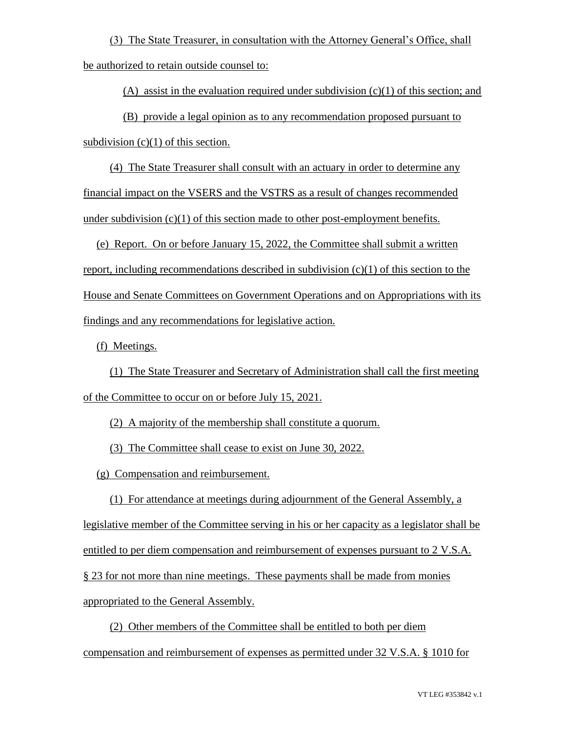(3) The State Treasurer, in consultation with the Attorney General's Office, shall be authorized to retain outside counsel to:

(A) assist in the evaluation required under subdivision  $(c)(1)$  of this section; and

(B) provide a legal opinion as to any recommendation proposed pursuant to subdivision  $(c)(1)$  of this section.

(4) The State Treasurer shall consult with an actuary in order to determine any financial impact on the VSERS and the VSTRS as a result of changes recommended under subdivision  $(c)(1)$  of this section made to other post-employment benefits.

(e) Report. On or before January 15, 2022, the Committee shall submit a written report, including recommendations described in subdivision (c)(1) of this section to the House and Senate Committees on Government Operations and on Appropriations with its findings and any recommendations for legislative action.

(f) Meetings.

(1) The State Treasurer and Secretary of Administration shall call the first meeting of the Committee to occur on or before July 15, 2021.

(2) A majority of the membership shall constitute a quorum.

(3) The Committee shall cease to exist on June 30, 2022.

(g) Compensation and reimbursement.

(1) For attendance at meetings during adjournment of the General Assembly, a legislative member of the Committee serving in his or her capacity as a legislator shall be entitled to per diem compensation and reimbursement of expenses pursuant to 2 V.S.A. § 23 for not more than nine meetings. These payments shall be made from monies appropriated to the General Assembly.

(2) Other members of the Committee shall be entitled to both per diem compensation and reimbursement of expenses as permitted under 32 V.S.A. § 1010 for